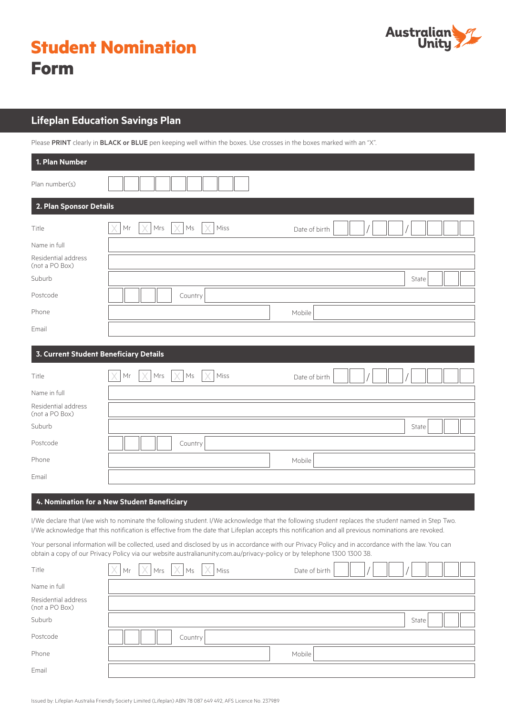|             | <b>Student Nomination</b> |
|-------------|---------------------------|
| <b>Form</b> |                           |



# **Lifeplan Education Savings Plan**

Please PRINT clearly in BLACK or BLUE pen keeping well within the boxes. Use crosses in the boxes marked with an "X".

| 1. Plan Number                         |                                                                   |
|----------------------------------------|-------------------------------------------------------------------|
| Plan number(s)                         |                                                                   |
| 2. Plan Sponsor Details                |                                                                   |
| Title                                  | X<br>Mrs<br>$\mathsf{M}\mathsf{s}$<br>Miss<br>Mr<br>Date of birth |
| Name in full                           |                                                                   |
| Residential address<br>(not a PO Box)  |                                                                   |
| Suburb                                 | State                                                             |
| Postcode                               | Country                                                           |
| Phone                                  | Mobile                                                            |
| Email                                  |                                                                   |
| 3. Current Student Beneficiary Details |                                                                   |
| Title                                  | Ms<br>Mrs<br>X<br>Miss<br>Mr<br>Date of birth                     |
| Name in full                           |                                                                   |
| Residential address<br>(not a PO Box)  |                                                                   |
| Suburb                                 | State                                                             |
| Postcode                               | Country                                                           |
| Phone                                  | Mobile                                                            |
| Email                                  |                                                                   |

## **4. Nomination for a New Student Beneficiary**

I/We declare that I/we wish to nominate the following student. I/We acknowledge that the following student replaces the student named in Step Two. I/We acknowledge that this notification is effective from the date that Lifeplan accepts this notification and all previous nominations are revoked.

Your personal information will be collected, used and disclosed by us in accordance with our Privacy Policy and in accordance with the law. You can obtain a copy of our Privacy Policy via our website australianunity.com.au/privacy-policy or by telephone 1300 1300 38.

| Title                                 | $\times$ Mr | $\vert$ X $\vert$ |         | $Mrs$ $ \times Ms$ $ \times Miss $ | Date of birth |  |       |  |
|---------------------------------------|-------------|-------------------|---------|------------------------------------|---------------|--|-------|--|
| Name in full                          |             |                   |         |                                    |               |  |       |  |
| Residential address<br>(not a PO Box) |             |                   |         |                                    |               |  |       |  |
| Suburb                                |             |                   |         |                                    |               |  | State |  |
| Postcode                              |             |                   | Country |                                    |               |  |       |  |
| Phone                                 |             |                   |         |                                    | Mobile        |  |       |  |
| Email                                 |             |                   |         |                                    |               |  |       |  |